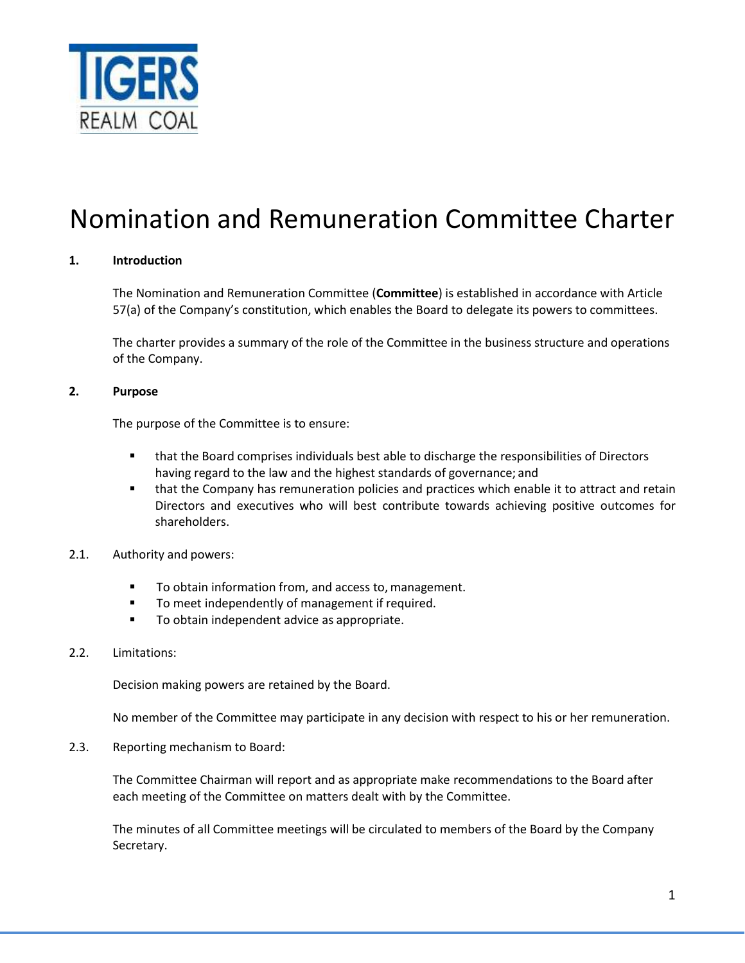

# Nomination and Remuneration Committee Charter

# **1. Introduction**

The Nomination and Remuneration Committee (**Committee**) is established in accordance with Article 57(a) of the Company's constitution, which enables the Board to delegate its powers to committees.

The charter provides a summary of the role of the Committee in the business structure and operations of the Company.

#### **2. Purpose**

The purpose of the Committee is to ensure:

- that the Board comprises individuals best able to discharge the responsibilities of Directors having regard to the law and the highest standards of governance; and
- **.** that the Company has remuneration policies and practices which enable it to attract and retain Directors and executives who will best contribute towards achieving positive outcomes for shareholders.
- 2.1. Authority and powers:
	- To obtain information from, and access to, management.
	- To meet independently of management if required.
	- To obtain independent advice as appropriate.
- 2.2. Limitations:

Decision making powers are retained by the Board.

No member of the Committee may participate in any decision with respect to his or her remuneration.

2.3. Reporting mechanism to Board:

The Committee Chairman will report and as appropriate make recommendations to the Board after each meeting of the Committee on matters dealt with by the Committee.

The minutes of all Committee meetings will be circulated to members of the Board by the Company Secretary.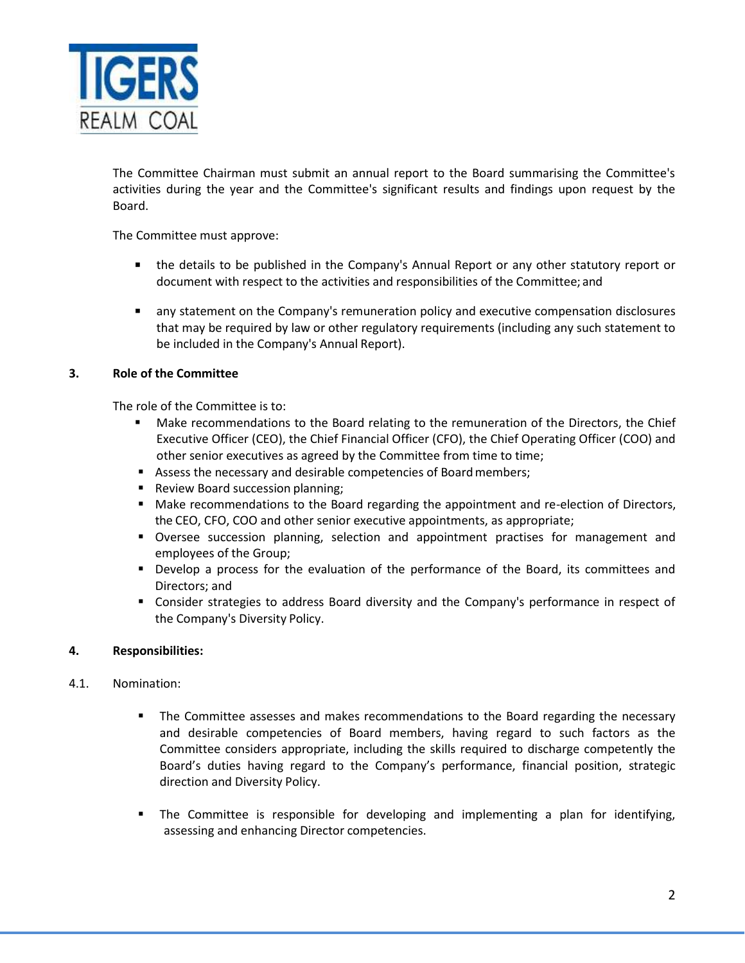

The Committee Chairman must submit an annual report to the Board summarising the Committee's activities during the year and the Committee's significant results and findings upon request by the Board.

The Committee must approve:

- the details to be published in the Company's Annual Report or any other statutory report or document with respect to the activities and responsibilities of the Committee; and
- any statement on the Company's remuneration policy and executive compensation disclosures that may be required by law or other regulatory requirements (including any such statement to be included in the Company's Annual Report).

#### **3. Role of the Committee**

The role of the Committee is to:

- Make recommendations to the Board relating to the remuneration of the Directors, the Chief Executive Officer (CEO), the Chief Financial Officer (CFO), the Chief Operating Officer (COO) and other senior executives as agreed by the Committee from time to time;
- Assess the necessary and desirable competencies of Board members;
- Review Board succession planning;
- Make recommendations to the Board regarding the appointment and re-election of Directors, the CEO, CFO, COO and other senior executive appointments, as appropriate;
- **•** Oversee succession planning, selection and appointment practises for management and employees of the Group;
- Develop a process for the evaluation of the performance of the Board, its committees and Directors; and
- **EX Consider strategies to address Board diversity and the Company's performance in respect of** the Company's Diversity Policy.

#### **4. Responsibilities:**

#### 4.1. Nomination:

- The Committee assesses and makes recommendations to the Board regarding the necessary and desirable competencies of Board members, having regard to such factors as the Committee considers appropriate, including the skills required to discharge competently the Board's duties having regard to the Company's performance, financial position, strategic direction and Diversity Policy.
- The Committee is responsible for developing and implementing a plan for identifying, assessing and enhancing Director competencies.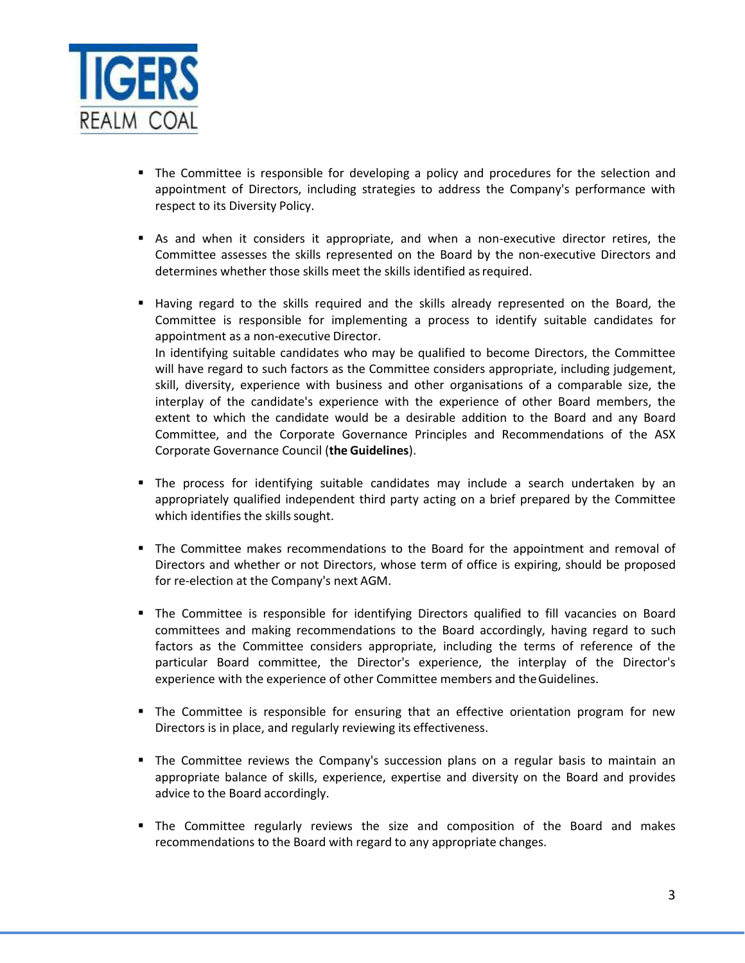

- The Committee is responsible for developing a policy and procedures for the selection and appointment of Directors, including strategies to address the Company's performance with respect to its Diversity Policy.
- As and when it considers it appropriate, and when a non-executive director retires, the Committee assesses the skills represented on the Board by the non-executive Directors and determines whether those skills meet the skills identified as required.
- Having regard to the skills required and the skills already represented on the Board, the Committee is responsible for implementing a process to identify suitable candidates for appointment as a non-executive Director. In identifying suitable candidates who may be qualified to become Directors, the Committee will have regard to such factors as the Committee considers appropriate, including judgement, skill, diversity, experience with business and other organisations of a comparable size, the interplay of the candidate's experience with the experience of other Board members, the extent to which the candidate would be a desirable addition to the Board and any Board Committee, and the Corporate Governance Principles and Recommendations of the ASX Corporate Governance Council (**the Guidelines**).
- The process for identifying suitable candidates may include a search undertaken by an appropriately qualified independent third party acting on a brief prepared by the Committee which identifies the skills sought.
- **The Committee makes recommendations to the Board for the appointment and removal of** Directors and whether or not Directors, whose term of office is expiring, should be proposed for re-election at the Company's next AGM.
- **•** The Committee is responsible for identifying Directors qualified to fill vacancies on Board committees and making recommendations to the Board accordingly, having regard to such factors as the Committee considers appropriate, including the terms of reference of the particular Board committee, the Director's experience, the interplay of the Director's experience with the experience of other Committee members and theGuidelines.
- The Committee is responsible for ensuring that an effective orientation program for new Directors is in place, and regularly reviewing its effectiveness.
- **The Committee reviews the Company's succession plans on a regular basis to maintain an** appropriate balance of skills, experience, expertise and diversity on the Board and provides advice to the Board accordingly.
- **■** The Committee regularly reviews the size and composition of the Board and makes recommendations to the Board with regard to any appropriate changes.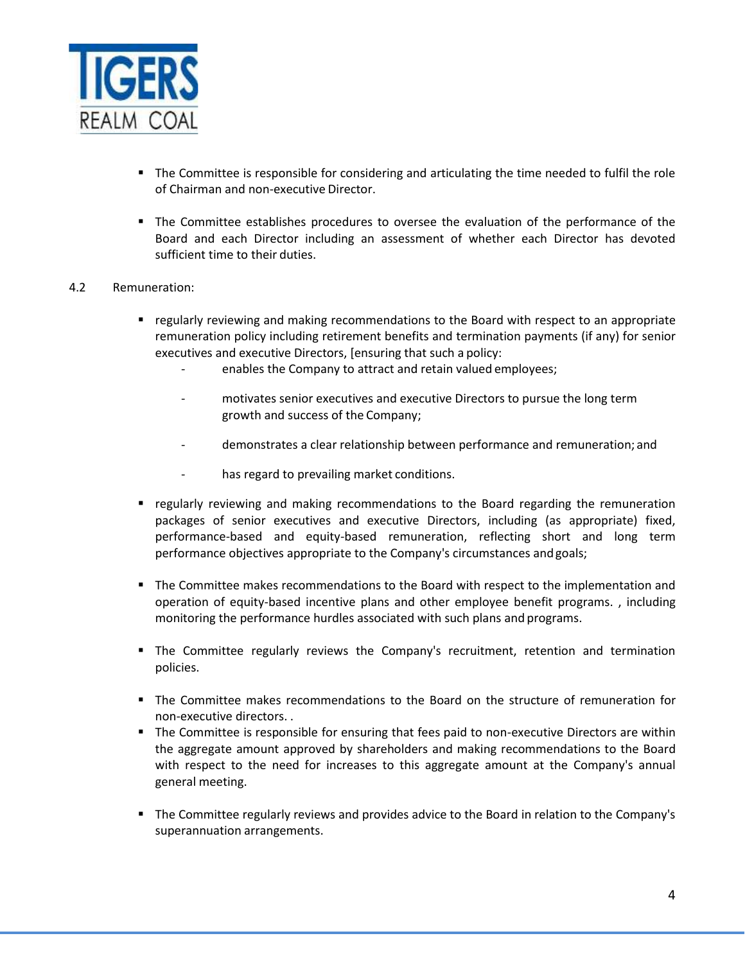

- The Committee is responsible for considering and articulating the time needed to fulfil the role of Chairman and non-executive Director.
- The Committee establishes procedures to oversee the evaluation of the performance of the Board and each Director including an assessment of whether each Director has devoted sufficient time to their duties.

# 4.2 Remuneration:

- regularly reviewing and making recommendations to the Board with respect to an appropriate remuneration policy including retirement benefits and termination payments (if any) for senior executives and executive Directors, [ensuring that such a policy:
	- enables the Company to attract and retain valued employees;
	- motivates senior executives and executive Directors to pursue the long term growth and success of the Company;
	- demonstrates a clear relationship between performance and remuneration; and
	- has regard to prevailing market conditions.
- regularly reviewing and making recommendations to the Board regarding the remuneration packages of senior executives and executive Directors, including (as appropriate) fixed, performance-based and equity-based remuneration, reflecting short and long term performance objectives appropriate to the Company's circumstances andgoals;
- The Committee makes recommendations to the Board with respect to the implementation and operation of equity-based incentive plans and other employee benefit programs. , including monitoring the performance hurdles associated with such plans and programs.
- The Committee regularly reviews the Company's recruitment, retention and termination policies.
- The Committee makes recommendations to the Board on the structure of remuneration for non-executive directors. .
- **The Committee is responsible for ensuring that fees paid to non-executive Directors are within** the aggregate amount approved by shareholders and making recommendations to the Board with respect to the need for increases to this aggregate amount at the Company's annual general meeting.
- The Committee regularly reviews and provides advice to the Board in relation to the Company's superannuation arrangements.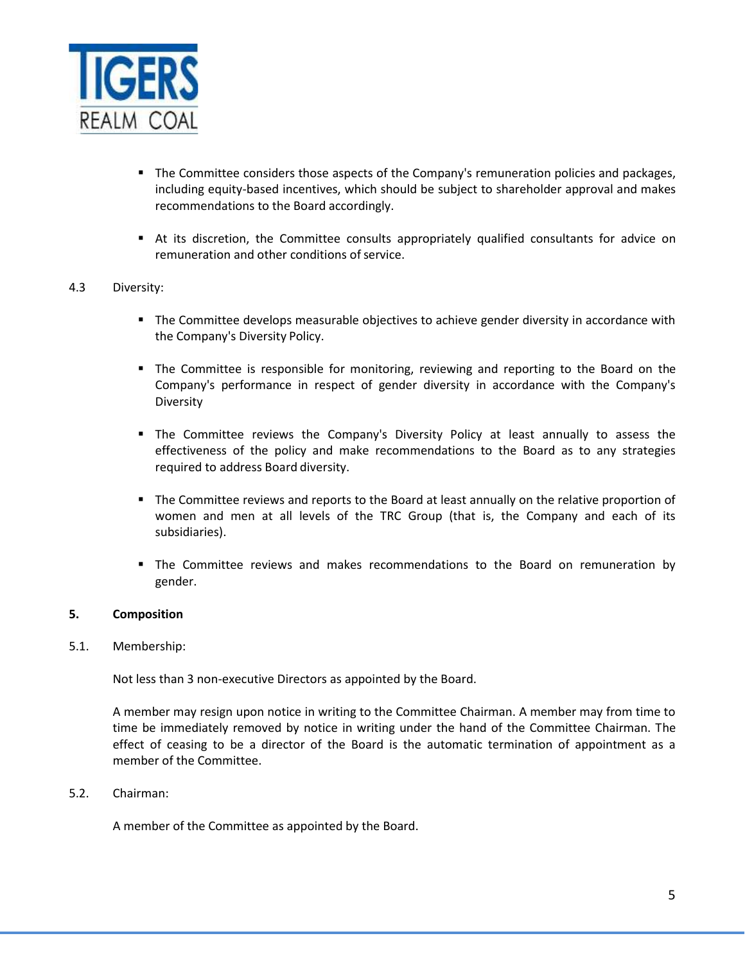

- The Committee considers those aspects of the Company's remuneration policies and packages, including equity-based incentives, which should be subject to shareholder approval and makes recommendations to the Board accordingly.
- At its discretion, the Committee consults appropriately qualified consultants for advice on remuneration and other conditions of service.

## 4.3 Diversity:

- The Committee develops measurable objectives to achieve gender diversity in accordance with the Company's Diversity Policy.
- The Committee is responsible for monitoring, reviewing and reporting to the Board on the Company's performance in respect of gender diversity in accordance with the Company's Diversity
- **•** The Committee reviews the Company's Diversity Policy at least annually to assess the effectiveness of the policy and make recommendations to the Board as to any strategies required to address Board diversity.
- **The Committee reviews and reports to the Board at least annually on the relative proportion of** women and men at all levels of the TRC Group (that is, the Company and each of its subsidiaries).
- The Committee reviews and makes recommendations to the Board on remuneration by gender.

#### **5. Composition**

#### 5.1. Membership:

Not less than 3 non-executive Directors as appointed by the Board.

A member may resign upon notice in writing to the Committee Chairman. A member may from time to time be immediately removed by notice in writing under the hand of the Committee Chairman. The effect of ceasing to be a director of the Board is the automatic termination of appointment as a member of the Committee.

#### 5.2. Chairman:

A member of the Committee as appointed by the Board.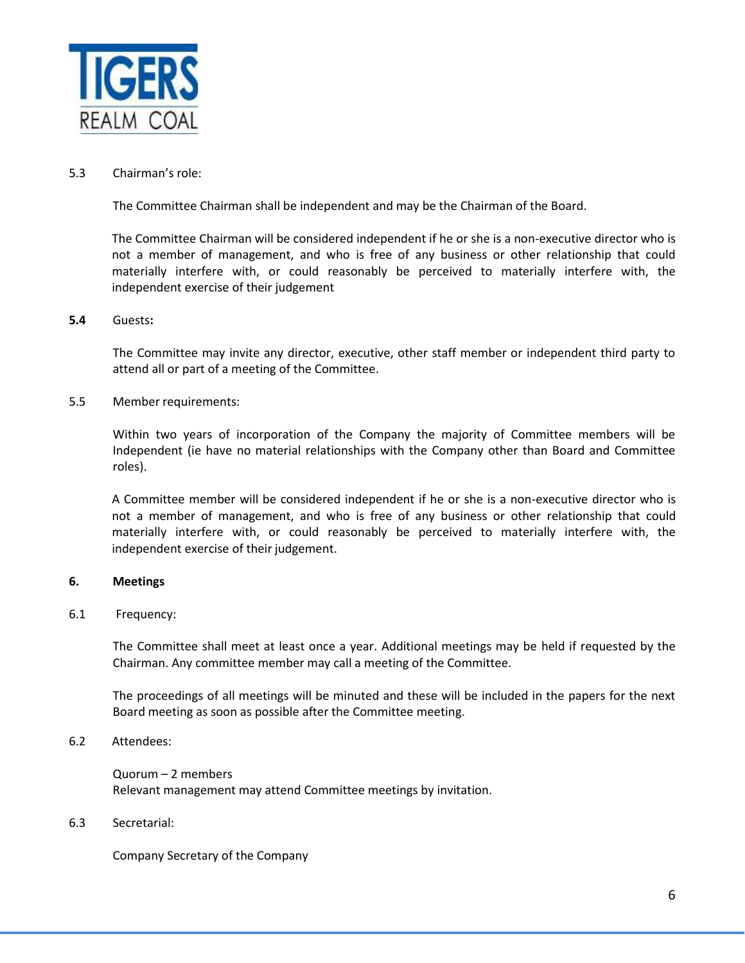

#### 5.3 Chairman's role:

The Committee Chairman shall be independent and may be the Chairman of the Board.

The Committee Chairman will be considered independent if he or she is a non-executive director who is not a member of management, and who is free of any business or other relationship that could materially interfere with, or could reasonably be perceived to materially interfere with, the independent exercise of their judgement

#### **5.4** Guests**:**

The Committee may invite any director, executive, other staff member or independent third party to attend all or part of a meeting of the Committee.

5.5 Member requirements:

Within two years of incorporation of the Company the majority of Committee members will be Independent (ie have no material relationships with the Company other than Board and Committee roles).

A Committee member will be considered independent if he or she is a non-executive director who is not a member of management, and who is free of any business or other relationship that could materially interfere with, or could reasonably be perceived to materially interfere with, the independent exercise of their judgement.

#### **6. Meetings**

#### 6.1 Frequency:

The Committee shall meet at least once a year. Additional meetings may be held if requested by the Chairman. Any committee member may call a meeting of the Committee.

The proceedings of all meetings will be minuted and these will be included in the papers for the next Board meeting as soon as possible after the Committee meeting.

# 6.2 Attendees:

Quorum – 2 members Relevant management may attend Committee meetings by invitation.

#### 6.3 Secretarial:

Company Secretary of the Company